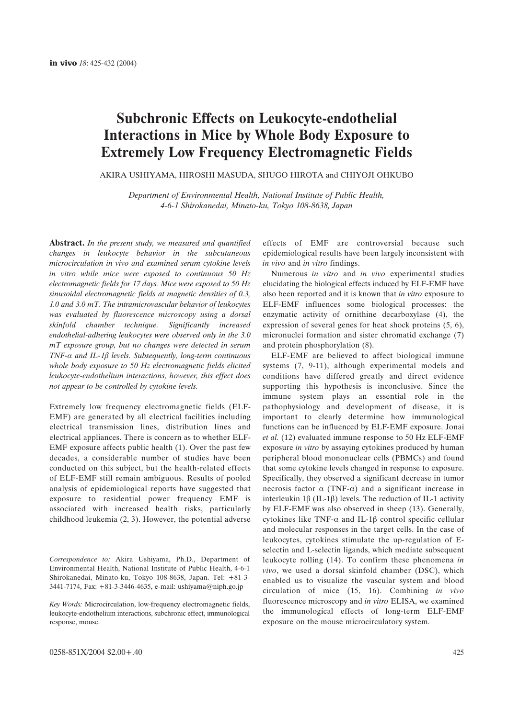# **Subchronic Effects on Leukocyte-endothelial Interactions in Mice by Whole Body Exposure to Extremely Low Frequency Electromagnetic Fields**

AKIRA USHIYAMA, HIROSHI MASUDA, SHUGO HIROTA and CHIYOJI OHKUBO

*Department of Environmental Health, National Institute of Public Health, 4-6-1 Shirokanedai, Minato-ku, Tokyo 108-8638, Japan*

**Abstract.** *In the present study, we measured and quantified changes in leukocyte behavior in the subcutaneous microcirculation in vivo and examined serum cytokine levels in vitro while mice were exposed to continuous 50 Hz electromagnetic fields for 17 days. Mice were exposed to 50 Hz sinusoidal electromagnetic fields at magnetic densities of 0.3, 1.0 and 3.0 mT. The intramicrovascular behavior of leukocytes was evaluated by fluorescence microscopy using a dorsal skinfold chamber technique. Significantly increased endothelial-adhering leukocytes were observed only in the 3.0 mT exposure group, but no changes were detected in serum*  $TNF-\alpha$  and IL-1 $\beta$  levels. Subsequently, long-term continuous *whole body exposure to 50 Hz electromagnetic fields elicited leukocyte-endothelium interactions, however, this effect does not appear to be controlled by cytokine levels.*

Extremely low frequency electromagnetic fields (ELF-EMF) are generated by all electrical facilities including electrical transmission lines, distribution lines and electrical appliances. There is concern as to whether ELF-EMF exposure affects public health (1). Over the past few decades, a considerable number of studies have been conducted on this subject, but the health-related effects of ELF-EMF still remain ambiguous. Results of pooled analysis of epidemiological reports have suggested that exposure to residential power frequency EMF is associated with increased health risks, particularly childhood leukemia (2, 3). However, the potential adverse

*Correspondence to:* Akira Ushiyama, Ph.D., Department of Environmental Health, National Institute of Public Health, 4-6-1 Shirokanedai, Minato-ku, Tokyo 108-8638, Japan. Tel: +81-3- 3441-7174, Fax: +81-3-3446-4635, e-mail: ushiyama@niph.go.jp

*Key Words:* Microcirculation, low-frequency electromagnetic fields, leukocyte-endothelium interactions, subchronic effect, immunological response, mouse.

effects of EMF are controversial because such epidemiological results have been largely inconsistent with *in vivo* and *in vitro* findings.

Numerous *in vitro* and *in vivo* experimental studies elucidating the biological effects induced by ELF-EMF have also been reported and it is known that *in vitro* exposure to ELF-EMF influences some biological processes: the enzymatic activity of ornithine decarboxylase (4), the expression of several genes for heat shock proteins (5, 6), micronuclei formation and sister chromatid exchange (7) and protein phosphorylation (8).

ELF-EMF are believed to affect biological immune systems (7, 9-11), although experimental models and conditions have differed greatly and direct evidence supporting this hypothesis is inconclusive. Since the immune system plays an essential role in the pathophysiology and development of disease, it is important to clearly determine how immunological functions can be influenced by ELF-EMF exposure. Jonai *et al.* (12) evaluated immune response to 50 Hz ELF-EMF exposure *in vitro* by assaying cytokines produced by human peripheral blood mononuclear cells (PBMCs) and found that some cytokine levels changed in response to exposure. Specifically, they observed a significant decrease in tumor necrosis factor  $\alpha$  (TNF- $\alpha$ ) and a significant increase in interleukin 1 $\beta$  (IL-1 $\beta$ ) levels. The reduction of IL-1 activity by ELF-EMF was also observed in sheep (13). Generally, cytokines like TNF- $\alpha$  and IL-16 control specific cellular and molecular responses in the target cells. In the case of leukocytes, cytokines stimulate the up-regulation of Eselectin and L-selectin ligands, which mediate subsequent leukocyte rolling (14). To confirm these phenomena *in vivo*, we used a dorsal skinfold chamber (DSC), which enabled us to visualize the vascular system and blood circulation of mice (15, 16). Combining *in vivo* fluorescence microscopy and *in vitro* ELISA, we examined the immunological effects of long-term ELF-EMF exposure on the mouse microcirculatory system.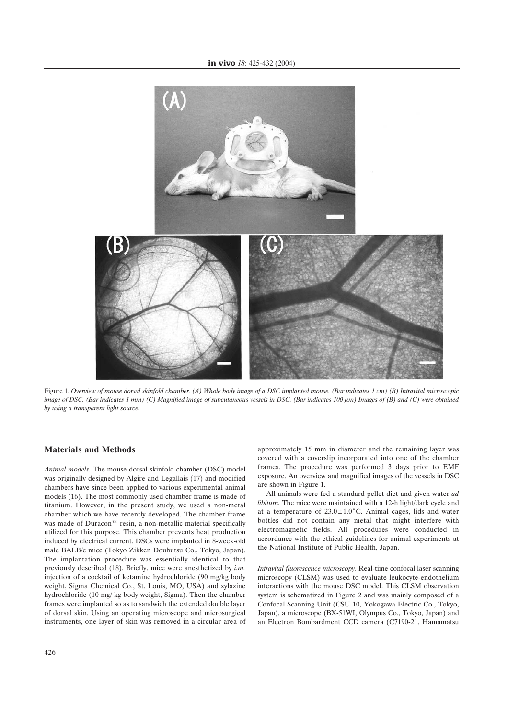

Figure 1. *Overview of mouse dorsal skinfold chamber. (A) Whole body image of a DSC implanted mouse. (Bar indicates 1 cm) (B) Intravital microscopic image of DSC. (Bar indicates 1 mm) (C) Magnified image of subcutaneous vessels in DSC. (Bar indicates 100 µm) Images of (B) and (C) were obtained by using a transparent light source.*

## **Materials and Methods**

*Animal models.* The mouse dorsal skinfold chamber (DSC) model was originally designed by Algire and Legallais (17) and modified chambers have since been applied to various experimental animal models (16). The most commonly used chamber frame is made of titanium. However, in the present study, we used a non-metal chamber which we have recently developed. The chamber frame was made of Duracon<sup> $m$ </sup> resin, a non-metallic material specifically utilized for this purpose. This chamber prevents heat production induced by electrical current. DSCs were implanted in 8-week-old male BALB/c mice (Tokyo Zikken Doubutsu Co., Tokyo, Japan). The implantation procedure was essentially identical to that previously described (18). Briefly, mice were anesthetized by *i.m.* injection of a cocktail of ketamine hydrochloride (90 mg/kg body weight, Sigma Chemical Co., St. Louis, MO, USA) and xylazine hydrochloride (10 mg/ kg body weight, Sigma). Then the chamber frames were implanted so as to sandwich the extended double layer of dorsal skin. Using an operating microscope and microsurgical instruments, one layer of skin was removed in a circular area of approximately 15 mm in diameter and the remaining layer was covered with a coverslip incorporated into one of the chamber frames. The procedure was performed 3 days prior to EMF exposure. An overview and magnified images of the vessels in DSC are shown in Figure 1.

All animals were fed a standard pellet diet and given water *ad libitum.* The mice were maintained with a 12-h light/dark cycle and at a temperature of  $23.0 \pm 1.0^{\circ}$ C. Animal cages, lids and water bottles did not contain any metal that might interfere with electromagnetic fields. All procedures were conducted in accordance with the ethical guidelines for animal experiments at the National Institute of Public Health, Japan.

*Intravital fluorescence microscopy.* Real-time confocal laser scanning microscopy (CLSM) was used to evaluate leukocyte-endothelium interactions with the mouse DSC model. This CLSM observation system is schematized in Figure 2 and was mainly composed of a Confocal Scanning Unit (CSU 10, Yokogawa Electric Co., Tokyo, Japan), a microscope (BX-51WI, Olympus Co., Tokyo, Japan) and an Electron Bombardment CCD camera (C7190-21, Hamamatsu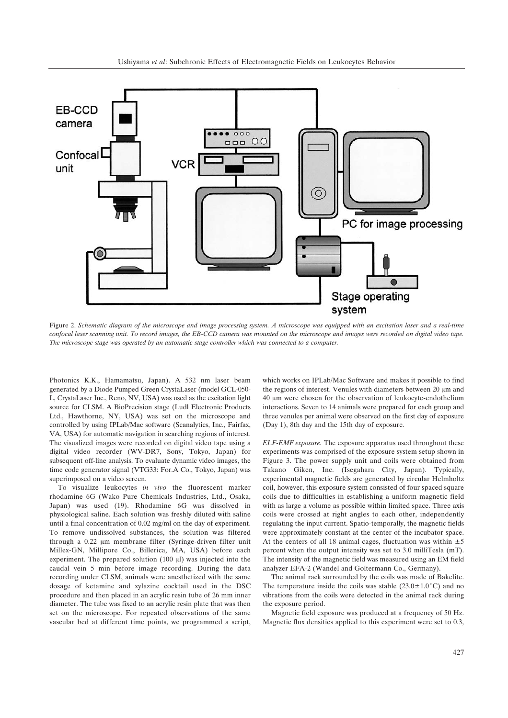

Figure 2. *Schematic diagram of the microscope and image processing system. A microscope was equipped with an excitation laser and a real-time confocal laser scanning unit. To record images, the EB-CCD camera was mounted on the microscope and images were recorded on digital video tape. The microscope stage was operated by an automatic stage controller which was connected to a computer.*

Photonics K.K., Hamamatsu, Japan). A 532 nm laser beam generated by a Diode Pumped Green CrystaLaser (model GCL-050- L, CrystaLaser Inc., Reno, NV, USA) was used as the excitation light source for CLSM. A BioPrecision stage (Ludl Electronic Products Ltd., Hawthorne, NY, USA) was set on the microscope and controlled by using IPLab/Mac software (Scanalytics, Inc., Fairfax, VA, USA) for automatic navigation in searching regions of interest. The visualized images were recorded on digital video tape using a digital video recorder (WV-DR7, Sony, Tokyo, Japan) for subsequent off-line analysis. To evaluate dynamic video images, the time code generator signal (VTG33: For.A Co., Tokyo, Japan) was superimposed on a video screen.

To visualize leukocytes *in vivo* the fluorescent marker rhodamine 6G (Wako Pure Chemicals Industries, Ltd., Osaka, Japan) was used (19). Rhodamine 6G was dissolved in physiological saline. Each solution was freshly diluted with saline until a final concentration of 0.02 mg/ml on the day of experiment. To remove undissolved substances, the solution was filtered through a 0.22 µm membrane filter (Syringe-driven filter unit Millex-GN, Millipore Co., Billerica, MA, USA) before each experiment. The prepared solution  $(100 \mu l)$  was injected into the caudal vein 5 min before image recording. During the data recording under CLSM, animals were anesthetized with the same dosage of ketamine and xylazine cocktail used in the DSC procedure and then placed in an acrylic resin tube of 26 mm inner diameter. The tube was fixed to an acrylic resin plate that was then set on the microscope. For repeated observations of the same vascular bed at different time points, we programmed a script,

which works on IPLab/Mac Software and makes it possible to find the regions of interest. Venules with diameters between 20  $\mu$ m and 40 um were chosen for the observation of leukocyte-endothelium interactions. Seven to 14 animals were prepared for each group and three venules per animal were observed on the first day of exposure (Day 1), 8th day and the 15th day of exposure.

*ELF-EMF exposure.* The exposure apparatus used throughout these experiments was comprised of the exposure system setup shown in Figure 3. The power supply unit and coils were obtained from Takano Giken, Inc. (Isegahara City, Japan). Typically, experimental magnetic fields are generated by circular Helmholtz coil, however, this exposure system consisted of four spaced square coils due to difficulties in establishing a uniform magnetic field with as large a volume as possible within limited space. Three axis coils were crossed at right angles to each other, independently regulating the input current. Spatio-temporally, the magnetic fields were approximately constant at the center of the incubator space. At the centers of all 18 animal cages, fluctuation was within  $\pm 5$ percent when the output intensity was set to 3.0 milliTesla (mT). The intensity of the magnetic field was measured using an EM field analyzer EFA-2 (Wandel and Goltermann Co., Germany).

The animal rack surrounded by the coils was made of Bakelite. The temperature inside the coils was stable  $(23.0 \pm 1.0^{\circ} \text{C})$  and no vibrations from the coils were detected in the animal rack during the exposure period.

Magnetic field exposure was produced at a frequency of 50 Hz. Magnetic flux densities applied to this experiment were set to 0.3,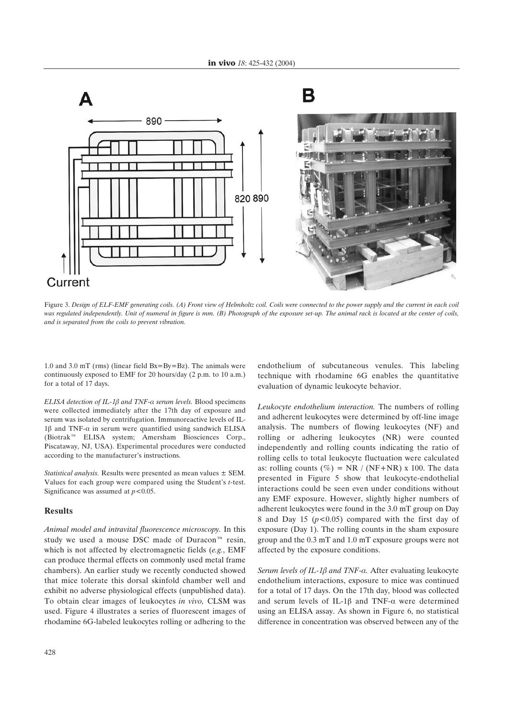

Figure 3. *Design of ELF-EMF generating coils. (A) Front view of Helmholtz coil. Coils were connected to the power supply and the current in each coil was regulated independently. Unit of numeral in figure is mm. (B) Photograph of the exposure set-up. The animal rack is located at the center of coils, and is separated from the coils to prevent vibration.*

1.0 and 3.0 mT (rms) (linear field Bx=By=Bz). The animals were continuously exposed to EMF for 20 hours/day (2 p.m. to 10 a.m.) for a total of 17 days.

*ELISA detection of IL-1* $\beta$  *and TNF-* $\alpha$  *serum levels.* Blood specimens were collected immediately after the 17th day of exposure and serum was isolated by centrifugation. Immunoreactive levels of IL- $1\beta$  and TNF- $\alpha$  in serum were quantified using sandwich ELISA (Biotrakì ELISA system; Amersham Biosciences Corp., Piscataway, NJ, USA). Experimental procedures were conducted according to the manufacturer's instructions.

*Statistical analysis.* Results were presented as mean values ± SEM. Values for each group were compared using the Student's *t*-test. Significance was assumed at  $p < 0.05$ .

#### **Results**

*Animal model and intravital fluorescence microscopy.* In this study we used a mouse DSC made of Duracon $\mathbb{I}^N$  resin, which is not affected by electromagnetic fields (*e.g.*, EMF can produce thermal effects on commonly used metal frame chambers). An earlier study we recently conducted showed that mice tolerate this dorsal skinfold chamber well and exhibit no adverse physiological effects (unpublished data). To obtain clear images of leukocytes *in vivo,* CLSM was used. Figure 4 illustrates a series of fluorescent images of rhodamine 6G-labeled leukocytes rolling or adhering to the

endothelium of subcutaneous venules. This labeling technique with rhodamine 6G enables the quantitative evaluation of dynamic leukocyte behavior.

*Leukocyte endothelium interaction.* The numbers of rolling and adherent leukocytes were determined by off-line image analysis. The numbers of flowing leukocytes (NF) and rolling or adhering leukocytes (NR) were counted independently and rolling counts indicating the ratio of rolling cells to total leukocyte fluctuation were calculated as: rolling counts  $(\%)$  = NR / (NF+NR) x 100. The data presented in Figure 5 show that leukocyte-endothelial interactions could be seen even under conditions without any EMF exposure. However, slightly higher numbers of adherent leukocytes were found in the 3.0 mT group on Day 8 and Day 15 (*p<*0.05) compared with the first day of exposure (Day 1). The rolling counts in the sham exposure group and the 0.3 mT and 1.0 mT exposure groups were not affected by the exposure conditions.

*Serum levels of IL-1ß and TNF-a.* After evaluating leukocyte endothelium interactions, exposure to mice was continued for a total of 17 days. On the 17th day, blood was collected and serum levels of IL-1 $\beta$  and TNF- $\alpha$  were determined using an ELISA assay. As shown in Figure 6, no statistical difference in concentration was observed between any of the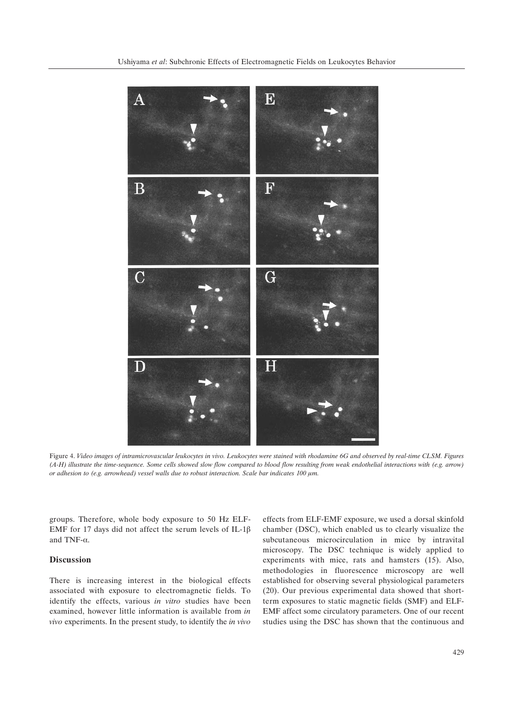

Figure 4. *Video images of intramicrovascular leukocytes in vivo. Leukocytes were stained with rhodamine 6G and observed by real-time CLSM. Figures (A-H) illustrate the time-sequence. Some cells showed slow flow compared to blood flow resulting from weak endothelial interactions with (e.g. arrow) or adhesion to (e.g. arrowhead) vessel walls due to robust interaction. Scale bar indicates 100 µm.* 

groups. Therefore, whole body exposure to 50 Hz ELF-EMF for 17 days did not affect the serum levels of IL-1 $\beta$ and TNF- $\alpha$ .

# **Discussion**

There is increasing interest in the biological effects associated with exposure to electromagnetic fields. To identify the effects, various *in vitro* studies have been examined, however little information is available from *in vivo* experiments. In the present study, to identify the *in vivo* effects from ELF-EMF exposure, we used a dorsal skinfold chamber (DSC), which enabled us to clearly visualize the subcutaneous microcirculation in mice by intravital microscopy. The DSC technique is widely applied to experiments with mice, rats and hamsters (15). Also, methodologies in fluorescence microscopy are well established for observing several physiological parameters (20). Our previous experimental data showed that shortterm exposures to static magnetic fields (SMF) and ELF-EMF affect some circulatory parameters. One of our recent studies using the DSC has shown that the continuous and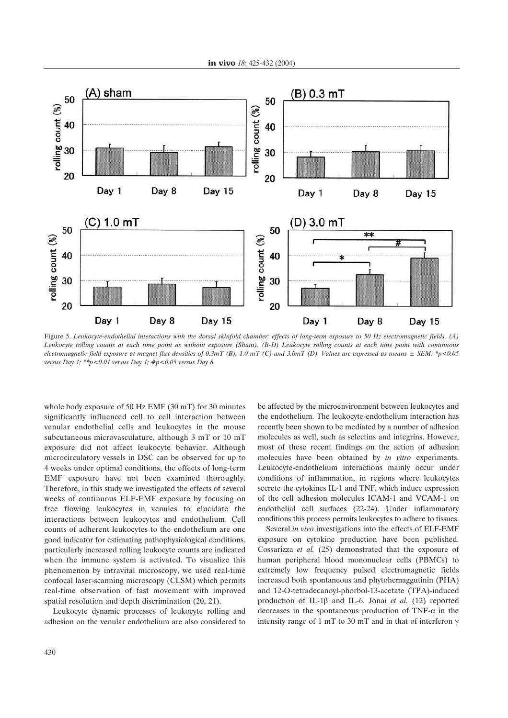

Figure 5. *Leukocyte-endothelial interactions with the dorsal skinfold chamber: effects of long-term exposure to 50 Hz electromagnetic fields. (A) Leukocyte rolling counts at each time point as without exposure (Sham). (B-D) Leukocyte rolling counts at each time point with continuous electromagnetic field exposure at magnet flux densities of 0.3mT (B), 1.0 mT (C) and 3.0mT (D). Values are expressed as means ± SEM. \*p<0.05 versus Day 1; \*\*p<0.01 versus Day 1; #p<0.05 versus Day 8.* 

whole body exposure of 50 Hz EMF (30 mT) for 30 minutes significantly influenced cell to cell interaction between venular endothelial cells and leukocytes in the mouse subcutaneous microvasculature, although 3 mT or 10 mT exposure did not affect leukocyte behavior. Although microcirculatory vessels in DSC can be observed for up to 4 weeks under optimal conditions, the effects of long-term EMF exposure have not been examined thoroughly. Therefore, in this study we investigated the effects of several weeks of continuous ELF-EMF exposure by focusing on free flowing leukocytes in venules to elucidate the interactions between leukocytes and endothelium. Cell counts of adherent leukocytes to the endothelium are one good indicator for estimating pathophysiological conditions, particularly increased rolling leukocyte counts are indicated when the immune system is activated. To visualize this phenomenon by intravital microscopy, we used real-time confocal laser-scanning microscopy (CLSM) which permits real-time observation of fast movement with improved spatial resolution and depth discrimination (20, 21).

Leukocyte dynamic processes of leukocyte rolling and adhesion on the venular endothelium are also considered to

be affected by the microenvironment between leukocytes and the endothelium. The leukocyte-endothelium interaction has recently been shown to be mediated by a number of adhesion molecules as well, such as selectins and integrins. However, most of these recent findings on the action of adhesion molecules have been obtained by *in vitro* experiments. Leukocyte-endothelium interactions mainly occur under conditions of inflammation, in regions where leukocytes secrete the cytokines IL-1 and TNF, which induce expression of the cell adhesion molecules ICAM-1 and VCAM-1 on endothelial cell surfaces (22-24). Under inflammatory conditions this process permits leukocytes to adhere to tissues.

Several *in vivo* investigations into the effects of ELF-EMF exposure on cytokine production have been published. Cossarizza *et al.* (25) demonstrated that the exposure of human peripheral blood mononuclear cells (PBMCs) to extremely low frequency pulsed electromagnetic fields increased both spontaneous and phytohemaggutinin (PHA) and 12-O-tetradecanoyl-phorbol-13-acetate (TPA)-induced production of IL-1 $\beta$  and IL-6. Jonai *et al.* (12) reported decreases in the spontaneous production of TNF- $\alpha$  in the intensity range of 1 mT to 30 mT and in that of interferon  $\gamma$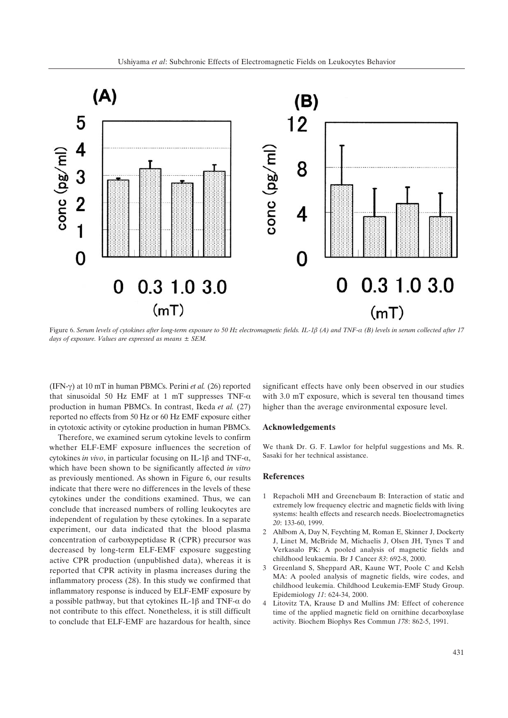

Figure 6. Serum levels of cytokines after long-term exposure to 50 Hz electromagnetic fields. IL-1 $\beta$  (A) and TNF- $\alpha$  (B) levels in serum collected after 17 *days of exposure. Values are expressed as means ± SEM.*

(IFN- $\gamma$ ) at 10 mT in human PBMCs. Perini *et al.* (26) reported that sinusoidal 50 Hz EMF at 1 mT suppresses TNF- $\alpha$ production in human PBMCs. In contrast, Ikeda *et al.* (27) reported no effects from 50 Hz or 60 Hz EMF exposure either in cytotoxic activity or cytokine production in human PBMCs.

Therefore, we examined serum cytokine levels to confirm whether ELF-EMF exposure influences the secretion of cytokines *in vivo*, in particular focusing on IL-1 $\beta$  and TNF- $\alpha$ , which have been shown to be significantly affected *in vitro* as previously mentioned. As shown in Figure 6, our results indicate that there were no differences in the levels of these cytokines under the conditions examined. Thus, we can conclude that increased numbers of rolling leukocytes are independent of regulation by these cytokines. In a separate experiment, our data indicated that the blood plasma concentration of carboxypeptidase R (CPR) precursor was decreased by long-term ELF-EMF exposure suggesting active CPR production (unpublished data), whereas it is reported that CPR activity in plasma increases during the inflammatory process (28). In this study we confirmed that inflammatory response is induced by ELF-EMF exposure by a possible pathway, but that cytokines IL-1 $\beta$  and TNF- $\alpha$  do not contribute to this effect. Nonetheless, it is still difficult to conclude that ELF-EMF are hazardous for health, since

significant effects have only been observed in our studies with 3.0 mT exposure, which is several ten thousand times higher than the average environmental exposure level.

## **Acknowledgements**

We thank Dr. G. F. Lawlor for helpful suggestions and Ms. R. Sasaki for her technical assistance.

### **References**

- 1 Repacholi MH and Greenebaum B: Interaction of static and extremely low frequency electric and magnetic fields with living systems: health effects and research needs. Bioelectromagnetics *20*: 133-60, 1999.
- 2 Ahlbom A, Day N, Feychting M, Roman E, Skinner J, Dockerty J, Linet M, McBride M, Michaelis J, Olsen JH, Tynes T and Verkasalo PK: A pooled analysis of magnetic fields and childhood leukaemia. Br J Cancer *83*: 692-8, 2000.
- 3 Greenland S, Sheppard AR, Kaune WT, Poole C and Kelsh MA: A pooled analysis of magnetic fields, wire codes, and childhood leukemia. Childhood Leukemia-EMF Study Group. Epidemiology *11*: 624-34, 2000.
- 4 Litovitz TA, Krause D and Mullins JM: Effect of coherence time of the applied magnetic field on ornithine decarboxylase activity. Biochem Biophys Res Commun *178*: 862-5, 1991.